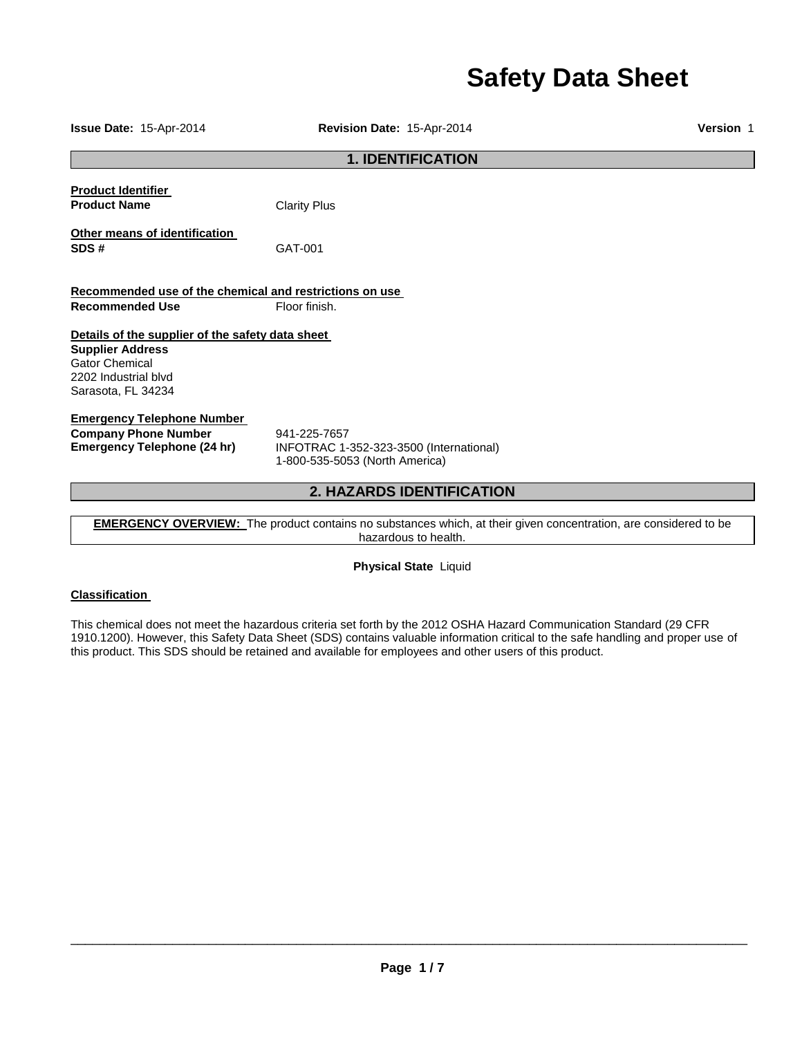# **Safety Data Sheet**

**Issue Date:** 15-Apr-2014 **Revision Date:** 15-Apr-2014 **Version** 1 **1. IDENTIFICATION Product Identifier Product Name** Clarity Plus **Other means of identification SDS #** GAT-001 **Recommended use of the chemical and restrictions on use Recommended Use Floor finish. Details of the supplier of the safety data sheet Supplier Address** Gator Chemical 2202 Industrial blvd Sarasota, FL 34234 **Emergency Telephone Number Company Phone Number** 941-225-7657<br>**Emergency Telephone (24 hr)** INFOTRAC 1-**Emergency Telephone (24 hr)** INFOTRAC 1-352-323-3500 (International) 1-800-535-5053 (North America) **2. HAZARDS IDENTIFICATION** 

**EMERGENCY OVERVIEW:** The product contains no substances which, at their given concentration, are considered to be hazardous to health.

**Physical State** Liquid

### **Classification**

This chemical does not meet the hazardous criteria set forth by the 2012 OSHA Hazard Communication Standard (29 CFR 1910.1200). However, this Safety Data Sheet (SDS) contains valuable information critical to the safe handling and proper use of this product. This SDS should be retained and available for employees and other users of this product.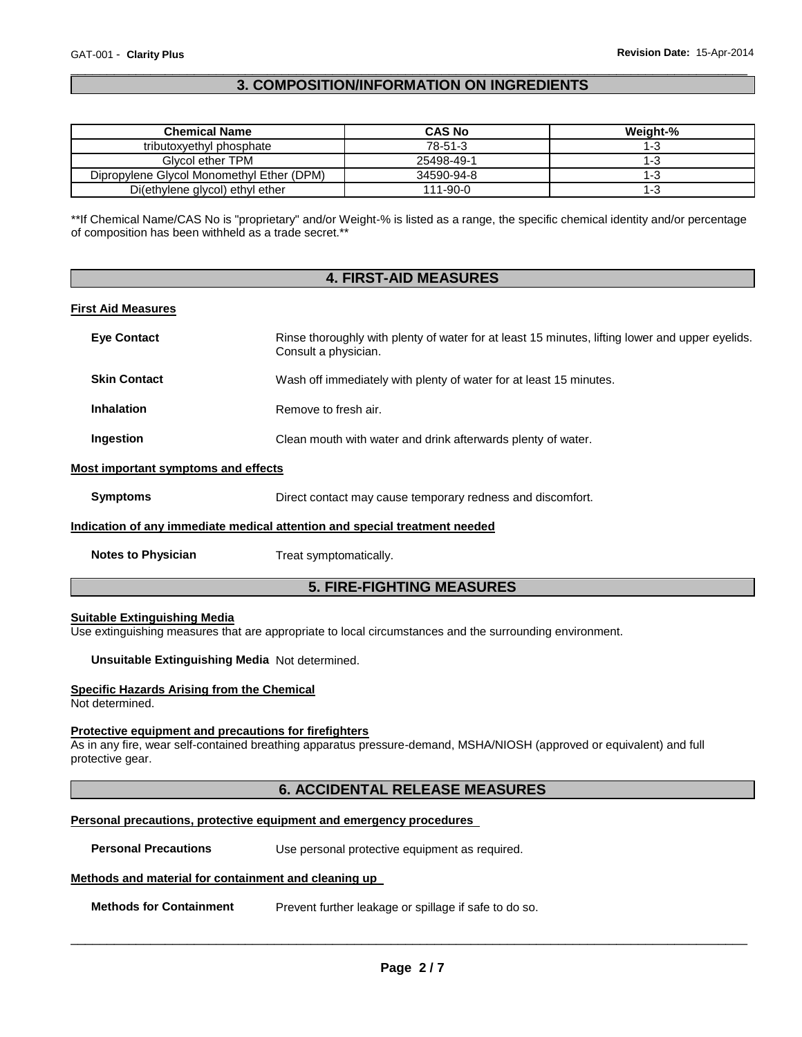### \_\_\_\_\_\_\_\_\_\_\_\_\_\_\_\_\_\_\_\_\_\_\_\_\_\_\_\_\_\_\_\_\_\_\_\_\_\_\_\_\_\_\_\_\_\_\_\_\_\_\_\_\_\_\_\_\_\_\_\_\_\_\_\_\_\_\_\_\_\_\_\_\_\_\_\_\_\_\_\_\_\_\_\_\_\_\_\_\_\_\_\_\_ **3. COMPOSITION/INFORMATION ON INGREDIENTS**

| <b>Chemical Name</b>                      | <b>CAS No</b> | Weight-% |
|-------------------------------------------|---------------|----------|
| tributoxyethyl phosphate                  | 78-51-3       | l-3      |
| Glycol ether TPM                          | 25498-49-1    | I -3     |
| Dipropylene Glycol Monomethyl Ether (DPM) | 34590-94-8    | I - 3    |
| Di(ethylene glycol) ethyl ether           | 111-90-0      | l-đ      |

\*\*If Chemical Name/CAS No is "proprietary" and/or Weight-% is listed as a range, the specific chemical identity and/or percentage of composition has been withheld as a trade secret.\*\*

|                                     | <b>4. FIRST-AID MEASURES</b>                                                                                            |  |
|-------------------------------------|-------------------------------------------------------------------------------------------------------------------------|--|
| <b>First Aid Measures</b>           |                                                                                                                         |  |
| <b>Eye Contact</b>                  | Rinse thoroughly with plenty of water for at least 15 minutes, lifting lower and upper eyelids.<br>Consult a physician. |  |
| <b>Skin Contact</b>                 | Wash off immediately with plenty of water for at least 15 minutes.                                                      |  |
| <b>Inhalation</b>                   | Remove to fresh air.                                                                                                    |  |
| Ingestion                           | Clean mouth with water and drink afterwards plenty of water.                                                            |  |
| Most important symptoms and effects |                                                                                                                         |  |
| <b>Symptoms</b>                     | Direct contact may cause temporary redness and discomfort.                                                              |  |
|                                     | Indication of any immediate medical attention and special treatment needed                                              |  |
| <b>Notes to Physician</b>           | Treat symptomatically.                                                                                                  |  |

# **5. FIRE-FIGHTING MEASURES**

#### **Suitable Extinguishing Media**

Use extinguishing measures that are appropriate to local circumstances and the surrounding environment.

**Unsuitable Extinguishing Media** Not determined.

#### **Specific Hazards Arising from the Chemical**

Not determined.

#### **Protective equipment and precautions for firefighters**

As in any fire, wear self-contained breathing apparatus pressure-demand, MSHA/NIOSH (approved or equivalent) and full protective gear.

# **6. ACCIDENTAL RELEASE MEASURES**

#### **Personal precautions, protective equipment and emergency procedures**

**Personal Precautions Use personal protective equipment as required.** 

#### **Methods and material for containment and cleaning up**

**Methods for Containment** Prevent further leakage or spillage if safe to do so.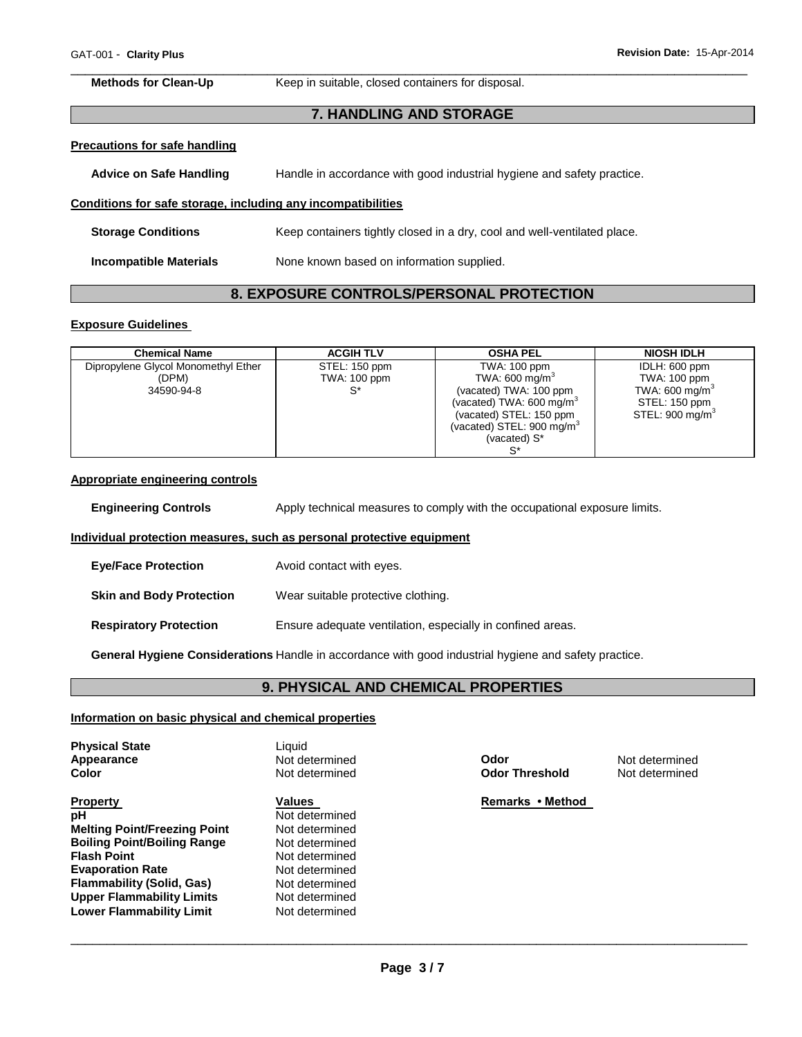\_\_\_\_\_\_\_\_\_\_\_\_\_\_\_\_\_\_\_\_\_\_\_\_\_\_\_\_\_\_\_\_\_\_\_\_\_\_\_\_\_\_\_\_\_\_\_\_\_\_\_\_\_\_\_\_\_\_\_\_\_\_\_\_\_\_\_\_\_\_\_\_\_\_\_\_\_\_\_\_\_\_\_\_\_\_\_\_\_\_\_\_\_ **Methods for Clean-Up Keep in suitable, closed containers for disposal.** 

#### **7. HANDLING AND STORAGE**

# **Precautions for safe handling**

| <b>Advice on Safe Handling</b> | Handle in accordance with good industrial hygiene and safety practice. |
|--------------------------------|------------------------------------------------------------------------|
|--------------------------------|------------------------------------------------------------------------|

#### **Conditions for safe storage, including any incompatibilities**

| <b>Storage Conditions</b> | Keep containers tightly closed in a dry, cool and well-ventilated place. |
|---------------------------|--------------------------------------------------------------------------|
| Incompatible Materials    | None known based on information supplied.                                |

# **8. EXPOSURE CONTROLS/PERSONAL PROTECTION**

#### **Exposure Guidelines**

| <b>Chemical Name</b>                | <b>ACGIH TLV</b> | <b>OSHA PEL</b>                       | <b>NIOSH IDLH</b>           |
|-------------------------------------|------------------|---------------------------------------|-----------------------------|
| Dipropylene Glycol Monomethyl Ether | STEL: 150 ppm    | TWA: 100 ppm                          | IDLH: 600 ppm               |
| (DPM)                               | TWA: 100 ppm     | TWA: 600 mg/m <sup>3</sup>            | TWA: 100 ppm                |
| 34590-94-8                          |                  | (vacated) TWA: 100 ppm                | TWA: 600 mg/m <sup>3</sup>  |
|                                     |                  | (vacated) TWA: $600 \text{ mg/m}^3$   | STEL: 150 ppm               |
|                                     |                  | (vacated) STEL: 150 ppm               | STEL: 900 mg/m <sup>3</sup> |
|                                     |                  | (vacated) STEL: 900 mg/m <sup>3</sup> |                             |
|                                     |                  | (vacated) S*                          |                             |
|                                     |                  | S*                                    |                             |

#### **Appropriate engineering controls**

**Engineering Controls** Apply technical measures to comply with the occupational exposure limits.

#### **Individual protection measures, such as personal protective equipment**

| <b>Eye/Face Protection</b>      | Avoid contact with eyes.                                   |
|---------------------------------|------------------------------------------------------------|
| <b>Skin and Body Protection</b> | Wear suitable protective clothing.                         |
| <b>Respiratory Protection</b>   | Ensure adequate ventilation, especially in confined areas. |

**General Hygiene Considerations** Handle in accordance with good industrial hygiene and safety practice.

# **9. PHYSICAL AND CHEMICAL PROPERTIES**

#### **Information on basic physical and chemical properties**

| <b>Physical State</b><br>Appearance<br><b>Color</b> | Liauid<br>Not determined<br>Not determined | Odor<br><b>Odor Threshold</b> | Not determined<br>Not determined |
|-----------------------------------------------------|--------------------------------------------|-------------------------------|----------------------------------|
| <b>Property</b>                                     | Values                                     | Remarks • Method              |                                  |
| рH                                                  | Not determined                             |                               |                                  |
| <b>Melting Point/Freezing Point</b>                 | Not determined                             |                               |                                  |
| <b>Boiling Point/Boiling Range</b>                  | Not determined                             |                               |                                  |
| <b>Flash Point</b>                                  | Not determined                             |                               |                                  |
| <b>Evaporation Rate</b>                             | Not determined                             |                               |                                  |
| <b>Flammability (Solid, Gas)</b>                    | Not determined                             |                               |                                  |
| <b>Upper Flammability Limits</b>                    | Not determined                             |                               |                                  |
| Lower Flammability Limit                            | Not determined                             |                               |                                  |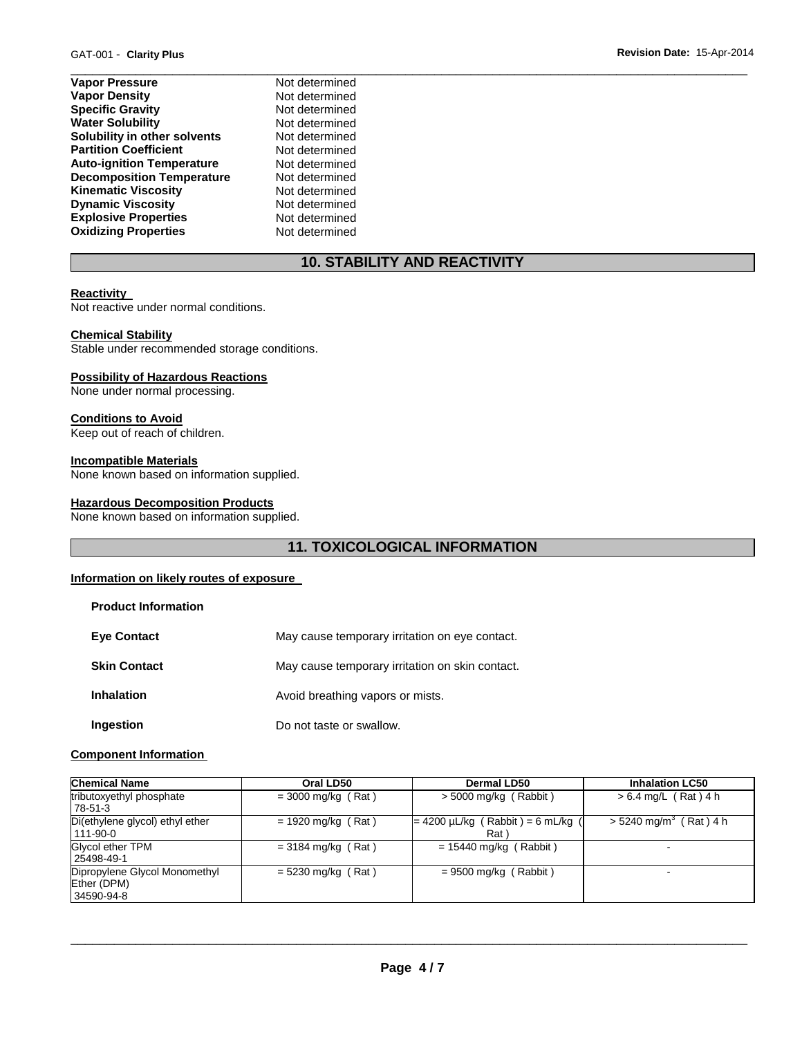- **Vapor Pressure**  Not determined **Vapor Density Not determined Specific Gravity Not determined Water Solubility Not determined Solubility in other solvents Not determined**<br> **Partition Coefficient Not determined Partition Coefficient Auto-ignition Temperature** Not determined **Decomposition Temperature** Not determined **Kinematic Viscosity Not determined**<br> **Discussity Not determined Dynamic Viscosity Explosive Properties** Not determined **Oxidizing Properties** Not determined
	-

# **10. STABILITY AND REACTIVITY**

\_\_\_\_\_\_\_\_\_\_\_\_\_\_\_\_\_\_\_\_\_\_\_\_\_\_\_\_\_\_\_\_\_\_\_\_\_\_\_\_\_\_\_\_\_\_\_\_\_\_\_\_\_\_\_\_\_\_\_\_\_\_\_\_\_\_\_\_\_\_\_\_\_\_\_\_\_\_\_\_\_\_\_\_\_\_\_\_\_\_\_\_\_

#### **Reactivity**

Not reactive under normal conditions.

#### **Chemical Stability**

Stable under recommended storage conditions.

#### **Possibility of Hazardous Reactions**

None under normal processing.

#### **Conditions to Avoid**

Keep out of reach of children.

#### **Incompatible Materials**

None known based on information supplied.

#### **Hazardous Decomposition Products**

None known based on information supplied.

# **11. TOXICOLOGICAL INFORMATION**

#### **Information on likely routes of exposure**

| <b>Product Information</b> |                                                 |
|----------------------------|-------------------------------------------------|
| <b>Eye Contact</b>         | May cause temporary irritation on eye contact.  |
| <b>Skin Contact</b>        | May cause temporary irritation on skin contact. |
| <b>Inhalation</b>          | Avoid breathing vapors or mists.                |
| Ingestion                  | Do not taste or swallow.                        |

#### **Component Information**

| <b>Chemical Name</b>                                       | Oral LD50            | Dermal LD50                                    | <b>Inhalation LC50</b>               |
|------------------------------------------------------------|----------------------|------------------------------------------------|--------------------------------------|
| tributoxyethyl phosphate<br>78-51-3                        | $=$ 3000 mg/kg (Rat) | $>$ 5000 mg/kg (Rabbit)                        | $> 6.4$ mg/L (Rat) 4 h               |
| Di(ethylene glycol) ethyl ether<br>111-90-0                | $= 1920$ mg/kg (Rat) | $= 4200 \mu L/kg$ (Rabbit) = 6 mL/kg (<br>Rat) | $> 5240$ mg/m <sup>3</sup> (Rat) 4 h |
| Glycol ether TPM<br>25498-49-1                             | $= 3184$ mg/kg (Rat) | $= 15440$ mg/kg (Rabbit)                       | $\blacksquare$                       |
| Dipropylene Glycol Monomethyl<br>Ether (DPM)<br>34590-94-8 | $= 5230$ mg/kg (Rat) | $= 9500$ mg/kg (Rabbit)                        | -                                    |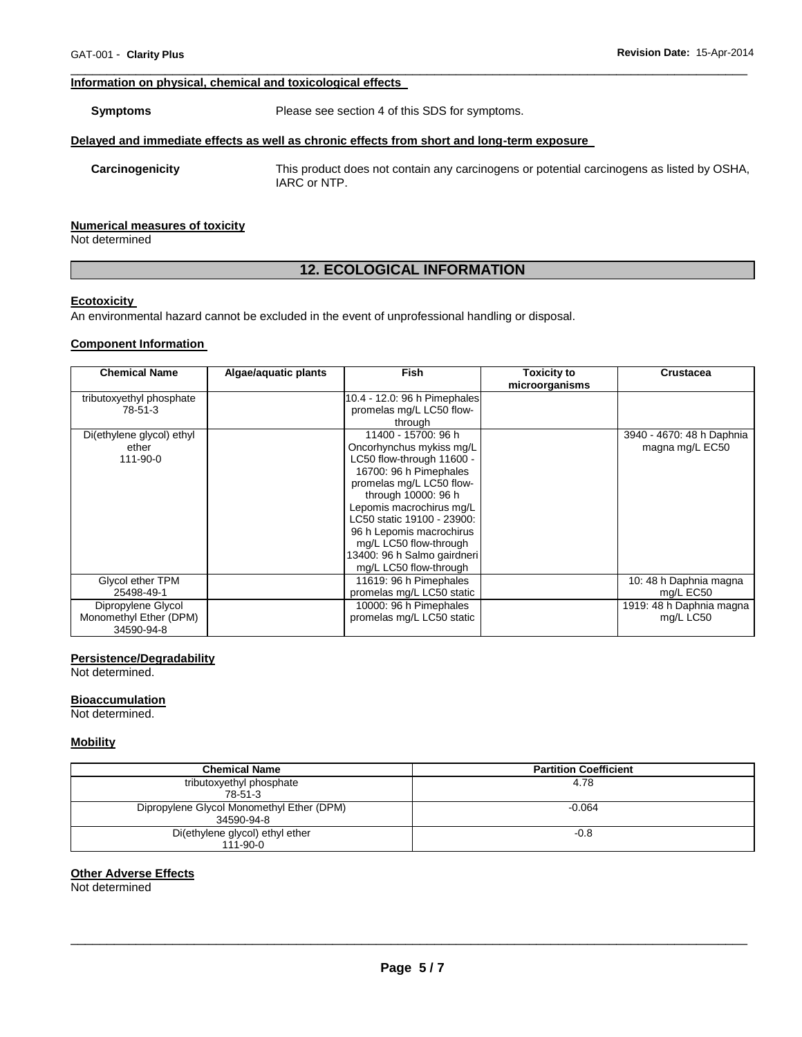#### **Information on physical, chemical and toxicological effects**

**Symptoms** Please see section 4 of this SDS for symptoms.

#### **Delayed and immediate effects as well as chronic effects from short and long-term exposure**

**Carcinogenicity** This product does not contain any carcinogens or potential carcinogens as listed by OSHA, IARC or NTP.

#### **Numerical measures of toxicity**

Not determined

# **12. ECOLOGICAL INFORMATION**

\_\_\_\_\_\_\_\_\_\_\_\_\_\_\_\_\_\_\_\_\_\_\_\_\_\_\_\_\_\_\_\_\_\_\_\_\_\_\_\_\_\_\_\_\_\_\_\_\_\_\_\_\_\_\_\_\_\_\_\_\_\_\_\_\_\_\_\_\_\_\_\_\_\_\_\_\_\_\_\_\_\_\_\_\_\_\_\_\_\_\_\_\_

#### **Ecotoxicity**

An environmental hazard cannot be excluded in the event of unprofessional handling or disposal.

#### **Component Information**

| <b>Chemical Name</b>      | Algae/aquatic plants | <b>Fish</b>                  | Toxicity to<br>microorganisms | <b>Crustacea</b>          |
|---------------------------|----------------------|------------------------------|-------------------------------|---------------------------|
| tributoxyethyl phosphate  |                      | 10.4 - 12.0: 96 h Pimephales |                               |                           |
| 78-51-3                   |                      | promelas mg/L LC50 flow-     |                               |                           |
|                           |                      | through                      |                               |                           |
| Di(ethylene glycol) ethyl |                      | 11400 - 15700: 96 h          |                               | 3940 - 4670: 48 h Daphnia |
| ether                     |                      | Oncorhynchus mykiss mg/L     |                               | magna mg/L EC50           |
| 111-90-0                  |                      | LC50 flow-through 11600 -    |                               |                           |
|                           |                      | 16700: 96 h Pimephales       |                               |                           |
|                           |                      | promelas mg/L LC50 flow-     |                               |                           |
|                           |                      | through 10000: 96 h          |                               |                           |
|                           |                      | Lepomis macrochirus mg/L     |                               |                           |
|                           |                      | LC50 static 19100 - 23900:   |                               |                           |
|                           |                      | 96 h Lepomis macrochirus     |                               |                           |
|                           |                      | mg/L LC50 flow-through       |                               |                           |
|                           |                      | 13400: 96 h Salmo gairdneri  |                               |                           |
|                           |                      | mg/L LC50 flow-through       |                               |                           |
| Glycol ether TPM          |                      | 11619: 96 h Pimephales       |                               | 10: 48 h Daphnia magna    |
| 25498-49-1                |                      | promelas mg/L LC50 static    |                               | mg/L EC50                 |
| Dipropylene Glycol        |                      | 10000: 96 h Pimephales       |                               | 1919: 48 h Daphnia magna  |
| Monomethyl Ether (DPM)    |                      | promelas mg/L LC50 static    |                               | mg/L LC50                 |
| 34590-94-8                |                      |                              |                               |                           |

#### **Persistence/Degradability**

Not determined.

#### **Bioaccumulation**

Not determined.

#### **Mobility**

| <b>Chemical Name</b>                                    | <b>Partition Coefficient</b> |
|---------------------------------------------------------|------------------------------|
| tributoxyethyl phosphate<br>78-51-3                     | 4.78                         |
| Dipropylene Glycol Monomethyl Ether (DPM)<br>34590-94-8 | $-0.064$                     |
| Di(ethylene glycol) ethyl ether<br>$111 - 90 - 0$       | $-0.8$                       |

#### **Other Adverse Effects**

Not determined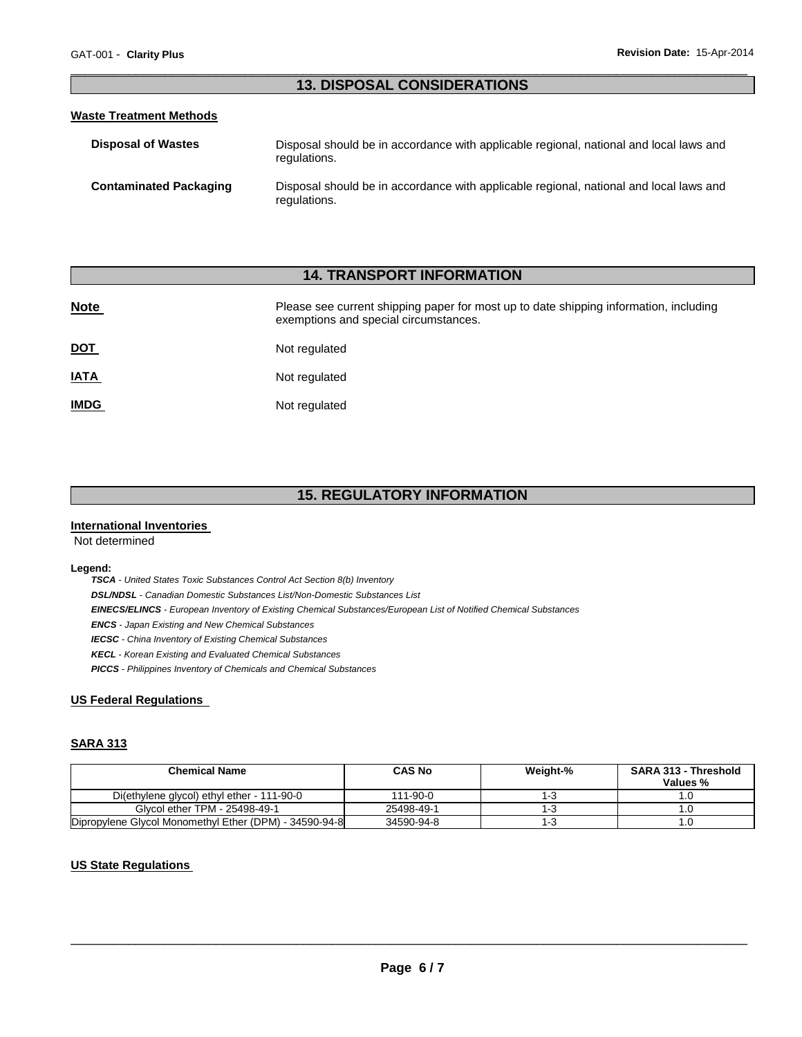### \_\_\_\_\_\_\_\_\_\_\_\_\_\_\_\_\_\_\_\_\_\_\_\_\_\_\_\_\_\_\_\_\_\_\_\_\_\_\_\_\_\_\_\_\_\_\_\_\_\_\_\_\_\_\_\_\_\_\_\_\_\_\_\_\_\_\_\_\_\_\_\_\_\_\_\_\_\_\_\_\_\_\_\_\_\_\_\_\_\_\_\_\_ **13. DISPOSAL CONSIDERATIONS**

#### **Waste Treatment Methods**

| <b>Disposal of Wastes</b>     | Disposal should be in accordance with applicable regional, national and local laws and<br>regulations. |
|-------------------------------|--------------------------------------------------------------------------------------------------------|
| <b>Contaminated Packaging</b> | Disposal should be in accordance with applicable regional, national and local laws and<br>regulations. |

# **14. TRANSPORT INFORMATION**

| <b>Note</b> | Please see current shipping paper for most up to date shipping information, including<br>exemptions and special circumstances. |
|-------------|--------------------------------------------------------------------------------------------------------------------------------|
| <u>DOT</u>  | Not regulated                                                                                                                  |
| <u>IATA</u> | Not regulated                                                                                                                  |
| <u>IMDG</u> | Not regulated                                                                                                                  |

# **15. REGULATORY INFORMATION**

#### **International Inventories**

Not determined

#### **Legend:**

*TSCA - United States Toxic Substances Control Act Section 8(b) Inventory DSL/NDSL - Canadian Domestic Substances List/Non-Domestic Substances List EINECS/ELINCS - European Inventory of Existing Chemical Substances/European List of Notified Chemical Substances ENCS - Japan Existing and New Chemical Substances IECSC - China Inventory of Existing Chemical Substances KECL - Korean Existing and Evaluated Chemical Substances PICCS - Philippines Inventory of Chemicals and Chemical Substances* 

### **US Federal Regulations**

#### **SARA 313**

| <b>Chemical Name</b>                                   | <b>CAS No</b> | Weight-% | <b>SARA 313 - Threshold</b><br>Values % |
|--------------------------------------------------------|---------------|----------|-----------------------------------------|
|                                                        |               |          |                                         |
| Di(ethylene glycol) ethyl ether - 111-90-0             | 111-90-0      | 1-3      |                                         |
| Glycol ether TPM - 25498-49-1                          | 25498-49-1    | 1-3      |                                         |
| Dipropylene Glycol Monomethyl Ether (DPM) - 34590-94-8 | 34590-94-8    | 1-3      | .U                                      |

### **US State Regulations**